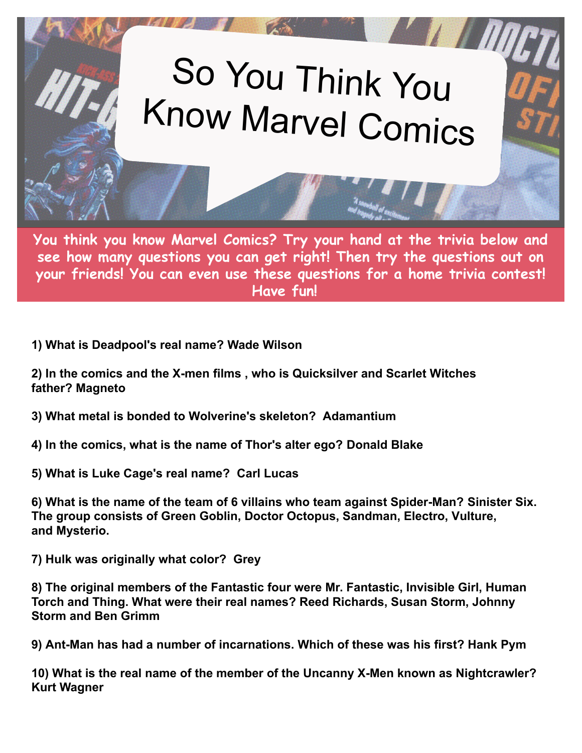## So You Think You<br>Know Marvel Comics

**You think you know Marvel Comics? Try your hand at the trivia below and see how many questions you can get right! Then try the questions out on your friends! You can even use these questions for a home trivia contest! Have fun!**

**1) What is Deadpool's real name? Wade Wilson**

**2) In the comics and the X-men films , who is Quicksilver and Scarlet Witches father? Magneto**

**3) What metal is bonded to Wolverine's skeleton? Adamantium**

- **4) In the comics, what is the name of Thor's alter ego? Donald Blake**
- **5) What is Luke Cage's real name? Carl Lucas**

**6) What is the name of the team of 6 villains who team against Spider-Man? Sinister Six. The group consists of Green Goblin, Doctor Octopus, Sandman, Electro, Vulture, and Mysterio.**

**7) Hulk was originally what color? Grey**

**8) The original members of the Fantastic four were Mr. Fantastic, Invisible Girl, Human Torch and Thing. What were their real names? Reed Richards, Susan Storm, Johnny Storm and Ben Grimm**

**9) Ant-Man has had a number of incarnations. Which of these was his first? Hank Pym**

**10) What is the real name of the member of the Uncanny X-Men known as Nightcrawler? Kurt Wagner**